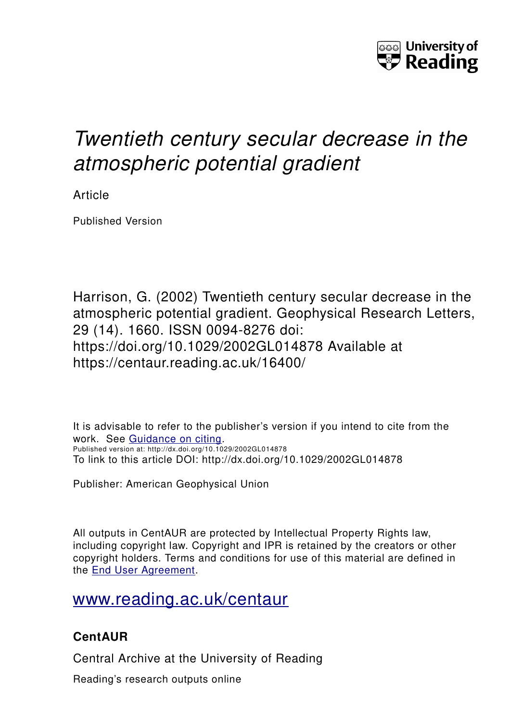

# *Twentieth century secular decrease in the atmospheric potential gradient*

Article

Published Version

Harrison, G. (2002) Twentieth century secular decrease in the atmospheric potential gradient. Geophysical Research Letters, 29 (14). 1660. ISSN 0094-8276 doi: https://doi.org/10.1029/2002GL014878 Available at https://centaur.reading.ac.uk/16400/

It is advisable to refer to the publisher's version if you intend to cite from the work. See [Guidance on citing.](http://centaur.reading.ac.uk/71187/10/CentAUR%20citing%20guide.pdf) Published version at: http://dx.doi.org/10.1029/2002GL014878 To link to this article DOI: http://dx.doi.org/10.1029/2002GL014878

Publisher: American Geophysical Union

All outputs in CentAUR are protected by Intellectual Property Rights law, including copyright law. Copyright and IPR is retained by the creators or other copyright holders. Terms and conditions for use of this material are defined in the [End User Agreement.](http://centaur.reading.ac.uk/licence)

[www.reading.ac.uk/centaur](http://www.reading.ac.uk/centaur)

# **CentAUR**

Central Archive at the University of Reading

Reading's research outputs online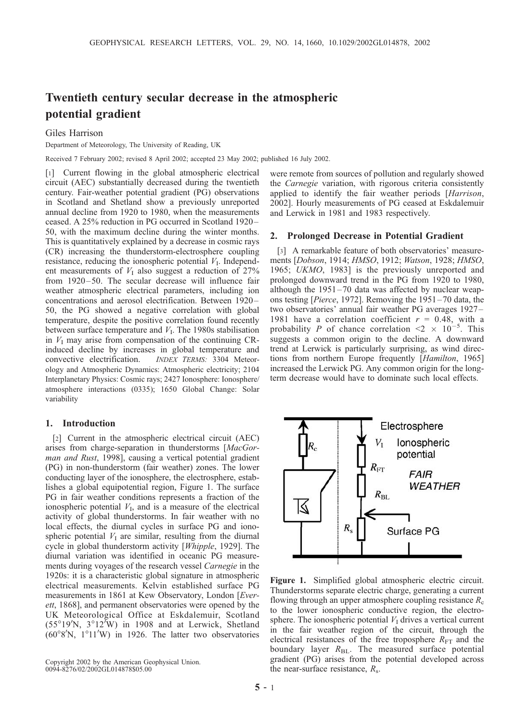# Twentieth century secular decrease in the atmospheric potential gradient

Giles Harrison

Department of Meteorology, The University of Reading, UK

Received 7 February 2002; revised 8 April 2002; accepted 23 May 2002; published 16 July 2002.

[1] Current flowing in the global atmospheric electrical circuit (AEC) substantially decreased during the twentieth century. Fair-weather potential gradient (PG) observations in Scotland and Shetland show a previously unreported annual decline from 1920 to 1980, when the measurements ceased. A 25% reduction in PG occurred in Scotland 1920 – 50, with the maximum decline during the winter months. This is quantitatively explained by a decrease in cosmic rays (CR) increasing the thunderstorm-electrosphere coupling resistance, reducing the ionospheric potential  $V<sub>I</sub>$ . Independent measurements of  $V<sub>I</sub>$  also suggest a reduction of 27% from 1920–50. The secular decrease will influence fair weather atmospheric electrical parameters, including ion concentrations and aerosol electrification. Between 1920-50, the PG showed a negative correlation with global temperature, despite the positive correlation found recently between surface temperature and  $V<sub>I</sub>$ . The 1980s stabilisation in  $V<sub>I</sub>$  may arise from compensation of the continuing CRinduced decline by increases in global temperature and convective electrification. INDEX TERMS: 3304 Meteorology and Atmospheric Dynamics: Atmospheric electricity; 2104 Interplanetary Physics: Cosmic rays; 2427 Ionosphere: Ionosphere/ atmosphere interactions (0335); 1650 Global Change: Solar variability

### 1. Introduction

[2] Current in the atmospheric electrical circuit (AEC) arises from charge-separation in thunderstorms [MacGorman and Rust, 1998], causing a vertical potential gradient (PG) in non-thunderstorm (fair weather) zones. The lower conducting layer of the ionosphere, the electrosphere, establishes a global equipotential region, Figure 1. The surface PG in fair weather conditions represents a fraction of the ionospheric potential  $V<sub>I</sub>$ , and is a measure of the electrical activity of global thunderstorms. In fair weather with no local effects, the diurnal cycles in surface PG and ionospheric potential  $V<sub>I</sub>$  are similar, resulting from the diurnal cycle in global thunderstorm activity [Whipple, 1929]. The diurnal variation was identified in oceanic PG measurements during voyages of the research vessel Carnegie in the 1920s: it is a characteristic global signature in atmospheric electrical measurements. Kelvin established surface PG measurements in 1861 at Kew Observatory, London [Everett, 1868], and permanent observatories were opened by the UK Meteorological Office at Eskdalemuir, Scotland  $(55^{\circ}19'N, 3^{\circ}12'W)$  in 1908 and at Lerwick, Shetland  $(60°8'N, 1°11'W)$  in 1926. The latter two observatories

Copyright 2002 by the American Geophysical Union. 0094-8276/02/2002GL014878\$05.00

were remote from sources of pollution and regularly showed the Carnegie variation, with rigorous criteria consistently applied to identify the fair weather periods [Harrison, 2002]. Hourly measurements of PG ceased at Eskdalemuir and Lerwick in 1981 and 1983 respectively.

#### 2. Prolonged Decrease in Potential Gradient

[3] A remarkable feature of both observatories' measurements [Dobson, 1914; HMSO, 1912; Watson, 1928; HMSO, 1965; UKMO, 1983] is the previously unreported and prolonged downward trend in the PG from 1920 to 1980, although the  $1951 - 70$  data was affected by nuclear weapons testing [Pierce, 1972]. Removing the 1951– 70 data, the two observatories' annual fair weather PG averages 1927– 1981 have a correlation coefficient  $r = 0.48$ , with a probability P of chance correlation  $\leq 2 \times 10^{-5}$ . This suggests a common origin to the decline. A downward trend at Lerwick is particularly surprising, as wind directions from northern Europe frequently [Hamilton, 1965] increased the Lerwick PG. Any common origin for the longterm decrease would have to dominate such local effects.



Figure 1. Simplified global atmospheric electric circuit. Thunderstorms separate electric charge, generating a current flowing through an upper atmosphere coupling resistance  $R_c$ to the lower ionospheric conductive region, the electrosphere. The ionospheric potential  $V<sub>I</sub>$  drives a vertical current in the fair weather region of the circuit, through the electrical resistances of the free troposphere  $R_{\text{FT}}$  and the boundary layer  $R_{BL}$ . The measured surface potential gradient (PG) arises from the potential developed across the near-surface resistance,  $R_s$ .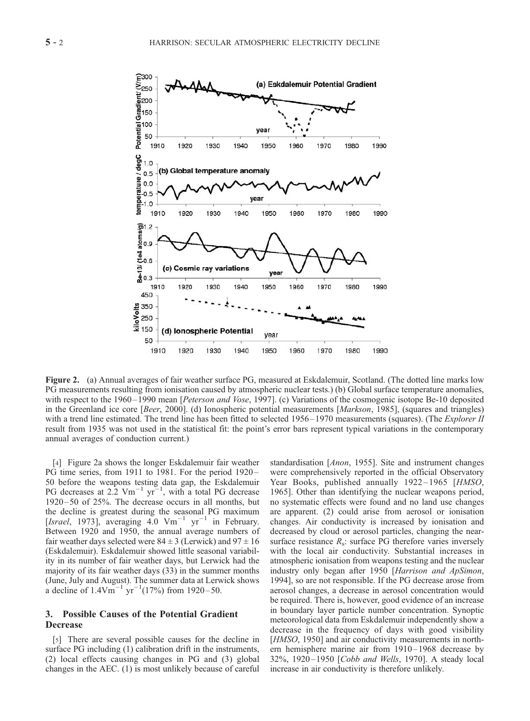

Figure 2. (a) Annual averages of fair weather surface PG, measured at Eskdalemuir, Scotland. (The dotted line marks low PG measurements resulting from ionisation caused by atmospheric nuclear tests.) (b) Global surface temperature anomalies, with respect to the 1960–1990 mean [Peterson and Vose, 1997]. (c) Variations of the cosmogenic isotope Be-10 deposited in the Greenland ice core [Beer, 2000]. (d) Ionospheric potential measurements [Markson, 1985], (squares and triangles) with a trend line estimated. The trend line has been fitted to selected 1956–1970 measurements (squares). (The *Explorer II* result from 1935 was not used in the statistical fit: the point's error bars represent typical variations in the contemporary annual averages of conduction current.)

[4] Figure 2a shows the longer Eskdalemuir fair weather PG time series, from 1911 to 1981. For the period 1920– 50 before the weapons testing data gap, the Eskdalemuir PG decreases at  $2.2 \text{ Vm}^{-1} \text{ yr}^{-1}$ , with a total PG decrease 1920 – 50 of 25%. The decrease occurs in all months, but the decline is greatest during the seasonal PG maximum [Israel, 1973], averaging 4.0  $\text{Vm}^{-1}$  yr<sup>-1</sup> in February. Between 1920 and 1950, the annual average numbers of fair weather days selected were  $84 \pm 3$  (Lerwick) and  $97 \pm 16$ (Eskdalemuir). Eskdalemuir showed little seasonal variability in its number of fair weather days, but Lerwick had the majority of its fair weather days (33) in the summer months (June, July and August). The summer data at Lerwick shows a decline of  $1.4 \text{Vm}^{-1} \text{ yr}^{-1} (17\%)$  from 1920–50.

## 3. Possible Causes of the Potential Gradient **Decrease**

[5] There are several possible causes for the decline in surface PG including (1) calibration drift in the instruments, (2) local effects causing changes in PG and (3) global changes in the AEC. (1) is most unlikely because of careful standardisation [Anon, 1955]. Site and instrument changes were comprehensively reported in the official Observatory Year Books, published annually 1922-1965 [HMSO, 1965]. Other than identifying the nuclear weapons period, no systematic effects were found and no land use changes are apparent. (2) could arise from aerosol or ionisation changes. Air conductivity is increased by ionisation and decreased by cloud or aerosol particles, changing the nearsurface resistance  $R_s$ : surface PG therefore varies inversely with the local air conductivity. Substantial increases in atmospheric ionisation from weapons testing and the nuclear industry only began after 1950 [Harrison and ApSimon, 1994], so are not responsible. If the PG decrease arose from aerosol changes, a decrease in aerosol concentration would be required. There is, however, good evidence of an increase in boundary layer particle number concentration. Synoptic meteorological data from Eskdalemuir independently show a decrease in the frequency of days with good visibility [HMSO, 1950] and air conductivity measurements in northern hemisphere marine air from 1910– 1968 decrease by 32%, 1920– 1950 [Cobb and Wells, 1970]. A steady local increase in air conductivity is therefore unlikely.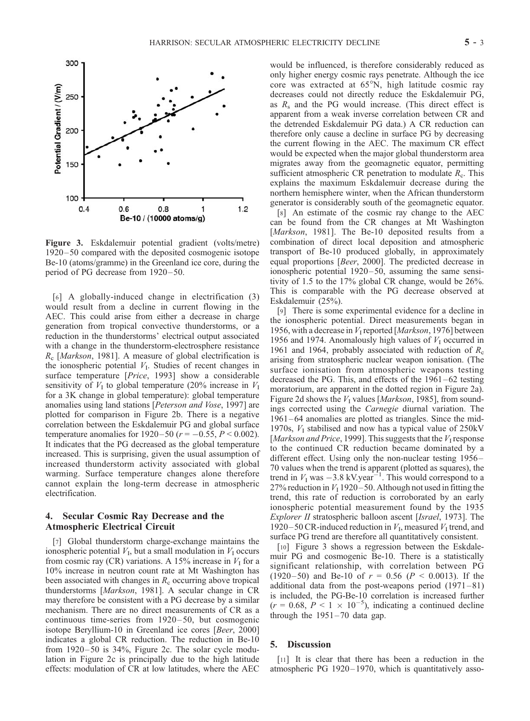

Figure 3. Eskdalemuir potential gradient (volts/metre) 1920 – 50 compared with the deposited cosmogenic isotope Be-10 (atoms/gramme) in the Greenland ice core, during the period of PG decrease from 1920–50.

[6] A globally-induced change in electrification (3) would result from a decline in current flowing in the AEC. This could arise from either a decrease in charge generation from tropical convective thunderstorms, or a reduction in the thunderstorms' electrical output associated with a change in the thunderstorm-electrosphere resistance  $R_c$  [*Markson*, 1981]. A measure of global electrification is the ionospheric potential  $V<sub>I</sub>$ . Studies of recent changes in surface temperature [Price, 1993] show a considerable sensitivity of  $V<sub>I</sub>$  to global temperature (20% increase in  $V<sub>I</sub>$ for a 3K change in global temperature): global temperature anomalies using land stations [Peterson and Vose, 1997] are plotted for comparison in Figure 2b. There is a negative correlation between the Eskdalemuir PG and global surface temperature anomalies for 1920–50 ( $r = -0.55$ ,  $P < 0.002$ ). It indicates that the PG decreased as the global temperature increased. This is surprising, given the usual assumption of increased thunderstorm activity associated with global warming. Surface temperature changes alone therefore cannot explain the long-term decrease in atmospheric electrification.

## 4. Secular Cosmic Ray Decrease and the Atmospheric Electrical Circuit

[7] Global thunderstorm charge-exchange maintains the ionospheric potential  $V<sub>I</sub>$ , but a small modulation in  $V<sub>I</sub>$  occurs from cosmic ray (CR) variations. A 15% increase in  $V_I$  for a 10% increase in neutron count rate at Mt Washington has been associated with changes in  $R<sub>c</sub>$  occurring above tropical thunderstorms [Markson, 1981]. A secular change in CR may therefore be consistent with a PG decrease by a similar mechanism. There are no direct measurements of CR as a continuous time-series from 1920–50, but cosmogenic isotope Beryllium-10 in Greenland ice cores [Beer, 2000] indicates a global CR reduction. The reduction in Be-10 from  $1920 - 50$  is  $34\%$ , Figure 2c. The solar cycle modulation in Figure 2c is principally due to the high latitude effects: modulation of CR at low latitudes, where the AEC would be influenced, is therefore considerably reduced as only higher energy cosmic rays penetrate. Although the ice core was extracted at  $65^{\circ}$ N, high latitude cosmic ray decreases could not directly reduce the Eskdalemuir PG, as  $R_s$  and the PG would increase. (This direct effect is apparent from a weak inverse correlation between CR and the detrended Eskdalemuir PG data.) A CR reduction can therefore only cause a decline in surface PG by decreasing the current flowing in the AEC. The maximum CR effect would be expected when the major global thunderstorm area migrates away from the geomagnetic equator, permitting sufficient atmospheric CR penetration to modulate  $R<sub>c</sub>$ . This explains the maximum Eskdalemuir decrease during the northern hemisphere winter, when the African thunderstorm generator is considerably south of the geomagnetic equator.

[8] An estimate of the cosmic ray change to the AEC can be found from the CR changes at Mt Washington [*Markson*, 1981]. The Be-10 deposited results from a combination of direct local deposition and atmospheric transport of Be-10 produced globally, in approximately equal proportions [Beer, 2000]. The predicted decrease in ionospheric potential 1920–50, assuming the same sensitivity of 1.5 to the 17% global CR change, would be 26%. This is comparable with the PG decrease observed at Eskdalemuir (25%).

[9] There is some experimental evidence for a decline in the ionospheric potential. Direct measurements began in 1956, with a decrease in  $V_1$  reported [Markson, 1976] between 1956 and 1974. Anomalously high values of  $V<sub>I</sub>$  occurred in 1961 and 1964, probably associated with reduction of  $R_c$ arising from stratospheric nuclear weapon ionisation. (The surface ionisation from atmospheric weapons testing decreased the PG. This, and effects of the 1961 –62 testing moratorium, are apparent in the dotted region in Figure 2a). Figure 2d shows the  $V<sub>I</sub>$  values [*Markson*, 1985], from soundings corrected using the Carnegie diurnal variation. The 1961– 64 anomalies are plotted as triangles. Since the mid-1970s,  $V<sub>I</sub>$  stabilised and now has a typical value of 250kV [*Markson and Price*, 1999]. This suggests that the  $V<sub>I</sub>$  response to the continued CR reduction became dominated by a different effect. Using only the non-nuclear testing 1956– 70 values when the trend is apparent (plotted as squares), the trend in  $V_1$  was  $-3.8$  kV.year<sup>-1</sup>. This would correspond to a 27% reduction in  $V_1$  1920–50. Although not used in fitting the trend, this rate of reduction is corroborated by an early ionospheric potential measurement found by the 1935 Explorer II stratospheric balloon ascent [Israel, 1973]. The 1920–50 CR-induced reduction in  $V_I$ , measured  $V_I$  trend, and surface PG trend are therefore all quantitatively consistent.

[10] Figure 3 shows a regression between the Eskdalemuir PG and cosmogenic Be-10. There is a statistically significant relationship, with correlation between PG (1920–50) and Be-10 of  $r = 0.56$  ( $P < 0.0013$ ). If the additional data from the post-weapons period  $(1971-81)$ is included, the PG-Be-10 correlation is increased further  $(r = 0.68, P < 1 \times 10^{-5})$ , indicating a continued decline through the  $1951-70$  data gap.

#### 5. Discussion

[11] It is clear that there has been a reduction in the atmospheric PG 1920– 1970, which is quantitatively asso-